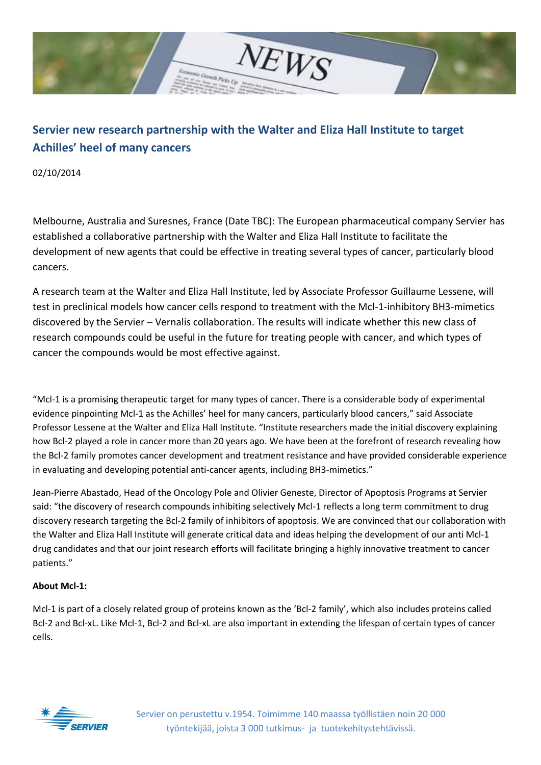

## **Servier new research partnership with the Walter and Eliza Hall Institute to target Achilles' heel of many cancers**

02/10/2014

Melbourne, Australia and Suresnes, France (Date TBC): The European pharmaceutical company Servier has established a collaborative partnership with the Walter and Eliza Hall Institute to facilitate the development of new agents that could be effective in treating several types of cancer, particularly blood cancers.

A research team at the Walter and Eliza Hall Institute, led by Associate Professor Guillaume Lessene, will test in preclinical models how cancer cells respond to treatment with the Mcl-1-inhibitory BH3-mimetics discovered by the Servier – Vernalis collaboration. The results will indicate whether this new class of research compounds could be useful in the future for treating people with cancer, and which types of cancer the compounds would be most effective against.

"Mcl-1 is a promising therapeutic target for many types of cancer. There is a considerable body of experimental evidence pinpointing Mcl-1 as the Achilles' heel for many cancers, particularly blood cancers," said Associate Professor Lessene at the Walter and Eliza Hall Institute. "Institute researchers made the initial discovery explaining how Bcl-2 played a role in cancer more than 20 years ago. We have been at the forefront of research revealing how the Bcl-2 family promotes cancer development and treatment resistance and have provided considerable experience in evaluating and developing potential anti-cancer agents, including BH3-mimetics."

Jean-Pierre Abastado, Head of the Oncology Pole and Olivier Geneste, Director of Apoptosis Programs at Servier said: "the discovery of research compounds inhibiting selectively Mcl-1 reflects a long term commitment to drug discovery research targeting the Bcl-2 family of inhibitors of apoptosis. We are convinced that our collaboration with the Walter and Eliza Hall Institute will generate critical data and ideas helping the development of our anti Mcl-1 drug candidates and that our joint research efforts will facilitate bringing a highly innovative treatment to cancer patients."

## **About Mcl-1:**

Mcl-1 is part of a closely related group of proteins known as the 'Bcl-2 family', which also includes proteins called Bcl-2 and Bcl-xL. Like Mcl-1, Bcl-2 and Bcl-xL are also important in extending the lifespan of certain types of cancer cells.